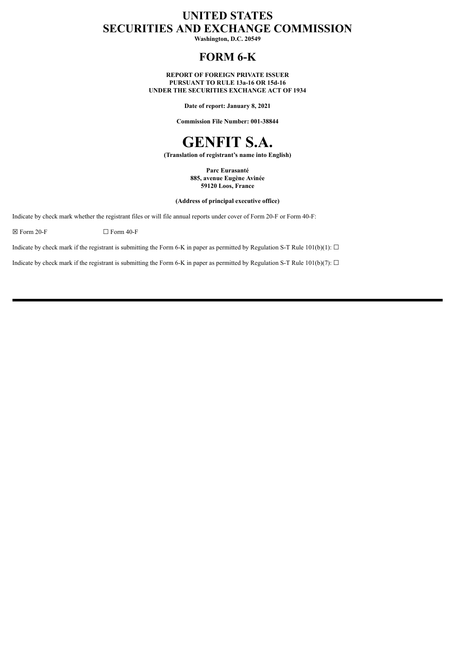# **UNITED STATES SECURITIES AND EXCHANGE COMMISSION**

**Washington, D.C. 20549**

# **FORM 6-K**

**REPORT OF FOREIGN PRIVATE ISSUER PURSUANT TO RULE 13a-16 OR 15d-16 UNDER THE SECURITIES EXCHANGE ACT OF 1934**

**Date of report: January 8, 2021**

**Commission File Number: 001-38844**

# **GENFIT S.A.**

**(Translation of registrant's name into English)**

**Parc Eurasanté 885, avenue Eugène Avinée 59120 Loos, France**

**(Address of principal executive office)**

Indicate by check mark whether the registrant files or will file annual reports under cover of Form 20-F or Form 40-F:

 $\boxtimes$  Form 20-F  $\Box$  Form 40-F

Indicate by check mark if the registrant is submitting the Form 6-K in paper as permitted by Regulation S-T Rule 101(b)(1):  $\Box$ 

Indicate by check mark if the registrant is submitting the Form 6-K in paper as permitted by Regulation S-T Rule  $101(b)(7)$ :  $\Box$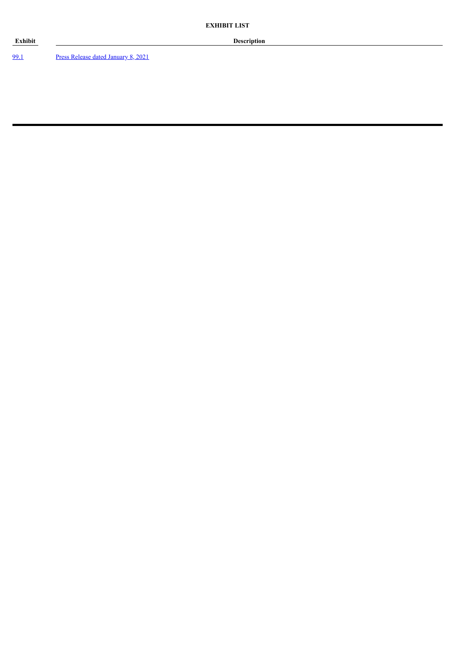[99.1](#page-3-0) Press Release dated [January](#page-3-0) 8, 2021

**Exhibit Description**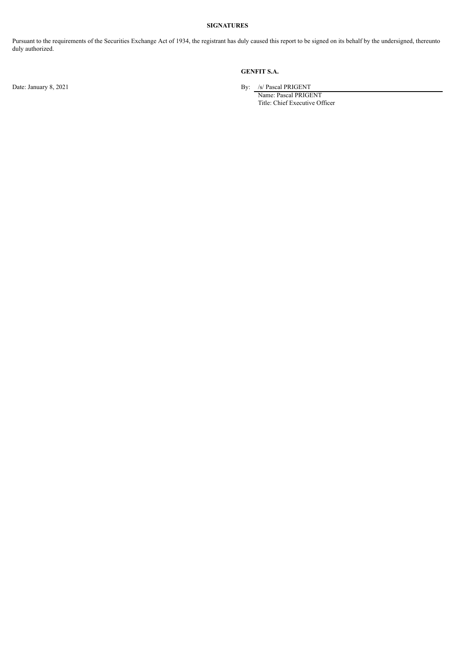#### **SIGNATURES**

Pursuant to the requirements of the Securities Exchange Act of 1934, the registrant has duly caused this report to be signed on its behalf by the undersigned, thereunto duly authorized.

## **GENFIT S.A.**

Date: January 8, 2021 By: /s/ Pascal PRIGENT

Name: Pascal PRIGENT Title: Chief Executive Officer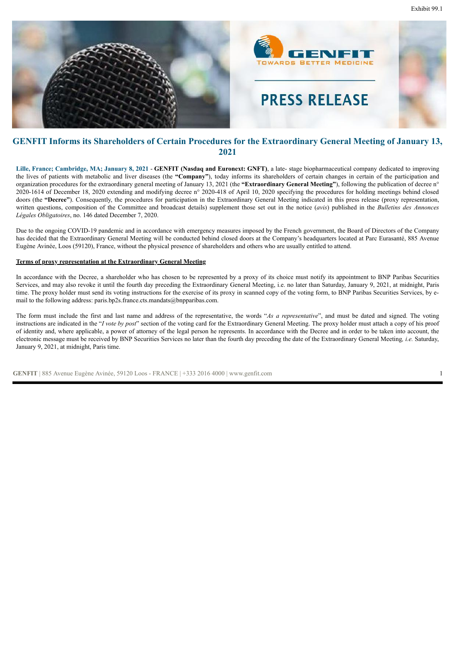Exhibit 99.1

<span id="page-3-0"></span>

### **GENFIT Informs its Shareholders of Certain Procedures for the Extraordinary General Meeting of January 13, 2021**

Lille, France; Cambridge, MA; January 8, 2021 - GENFIT (Nasdaq and Euronext: GNFT), a late-stage biopharmaceutical company dedicated to improving the lives of patients with metabolic and liver diseases (the **"Company"**), today informs its shareholders of certain changes in certain of the participation and organization procedures for the extraordinary general meeting of January 13, 2021 (the **"Extraordinary General Meeting"**), following the publication of decree n° 2020-1614 of December 18, 2020 extending and modifying decree n° 2020-418 of April 10, 2020 specifying the procedures for holding meetings behind closed doors (the "Decree"). Consequently, the procedures for participation in the Extraordinary General Meeting indicated in this press release (proxy representation, written questions, composition of the Committee and broadcast details) supplement those set out in the notice (*avis*) published in the *Bulletins des Annonces Légales Obligatoires*, no. 146 dated December 7, 2020.

Due to the ongoing COVID-19 pandemic and in accordance with emergency measures imposed by the French government, the Board of Directors of the Company has decided that the Extraordinary General Meeting will be conducted behind closed doors at the Company's headquarters located at Parc Eurasanté, 885 Avenue Eugène Avinée, Loos (59120), France, without the physical presence of shareholders and others who are usually entitled to attend.

#### **Terms of proxy representation at the Extraordinary General Meeting**

In accordance with the Decree, a shareholder who has chosen to be represented by a proxy of its choice must notify its appointment to BNP Paribas Securities Services, and may also revoke it until the fourth day preceding the Extraordinary General Meeting, i.e. no later than Saturday, January 9, 2021, at midnight, Paris time. The proxy holder must send its voting instructions for the exercise of its proxy in scanned copy of the voting form, to BNP Paribas Securities Services, by email to the following address: paris.bp2s.france.cts.mandats@bnpparibas.com.

The form must include the first and last name and address of the representative, the words "*As a representative*", and must be dated and signed. The voting instructions are indicated in the "*I vote by post*" section of the voting card for the Extraordinary General Meeting. The proxy holder must attach a copy of his proof of identity and, where applicable, a power of attorney of the legal person he represents. In accordance with the Decree and in order to be taken into account, the electronic message must be received by BNP Securities Services no later than the fourth day preceding the date of the Extraordinary General Meeting*, i.e.* Saturday, January 9, 2021, at midnight, Paris time.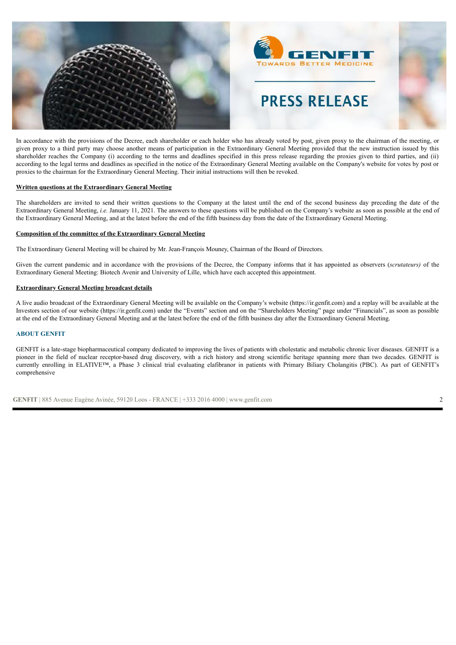

In accordance with the provisions of the Decree, each shareholder or each holder who has already voted by post, given proxy to the chairman of the meeting, or given proxy to a third party may choose another means of participation in the Extraordinary General Meeting provided that the new instruction issued by this shareholder reaches the Company (i) according to the terms and deadlines specified in this press release regarding the proxies given to third parties, and (ii) according to the legal terms and deadlines as specified in the notice of the Extraordinary General Meeting available on the Company's website for votes by post or proxies to the chairman for the Extraordinary General Meeting. Their initial instructions will then be revoked.

#### **Written questions at the Extraordinary General Meeting**

The shareholders are invited to send their written questions to the Company at the latest until the end of the second business day preceding the date of the Extraordinary General Meeting, *i.e.* January 11, 2021. The answers to these questions will be published on the Company's website as soon as possible at the end of the Extraordinary General Meeting, and at the latest before the end of the fifth business day from the date of the Extraordinary General Meeting.

#### **Composition of the committee of the Extraordinary General Meeting**

The Extraordinary General Meeting will be chaired by Mr. Jean-François Mouney, Chairman of the Board of Directors.

Given the current pandemic and in accordance with the provisions of the Decree, the Company informs that it has appointed as observers (*scrutateurs)* of the Extraordinary General Meeting: Biotech Avenir and University of Lille, which have each accepted this appointment.

#### **Extraordinary General Meeting broadcast details**

A live audio broadcast of the Extraordinary General Meeting will be available on the Company's website (https://ir.genfit.com) and a replay will be available at the Investors section of our website (https://ir.genfit.com) under the "Events" section and on the "Shareholders Meeting" page under "Financials", as soon as possible at the end of the Extraordinary General Meeting and at the latest before the end of the fifth business day after the Extraordinary General Meeting.

#### **ABOUT GENFIT**

GENFIT is a late-stage biopharmaceutical company dedicated to improving the lives of patients with cholestatic and metabolic chronic liver diseases. GENFIT is a pioneer in the field of nuclear receptor-based drug discovery, with a rich history and strong scientific heritage spanning more than two decades. GENFIT is currently enrolling in ELATIVE™, a Phase 3 clinical trial evaluating elafibranor in patients with Primary Biliary Cholangitis (PBC). As part of GENFIT's comprehensive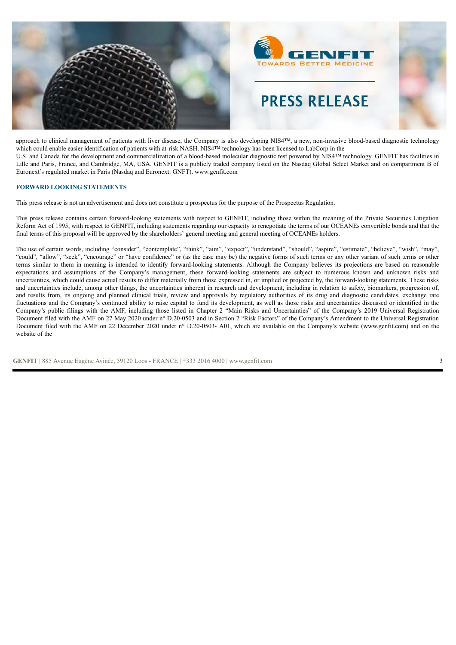

approach to clinical management of patients with liver disease, the Company is also developing NIS4™, a new, non-invasive blood-based diagnostic technology which could enable easier identification of patients with at-risk NASH. NIS4<sup>TM</sup> technology has been licensed to LabCorp in the U.S. and Canada for the development and commercialization of a blood-based molecular diagnostic test powered by NIS4™ technology. GENFIT has facilities in

Lille and Paris, France, and Cambridge, MA, USA. GENFIT is a publicly traded company listed on the Nasdaq Global Select Market and on compartment B of Euronext's regulated market in Paris (Nasdaq and Euronext: GNFT). www.genfit.com

#### **FORWARD LOOKING STATEMENTS**

This press release is not an advertisement and does not constitute a prospectus for the purpose of the Prospectus Regulation.

This press release contains certain forward-looking statements with respect to GENFIT, including those within the meaning of the Private Securities Litigation Reform Act of 1995, with respect to GENFIT, including statements regarding our capacity to renegotiate the terms of our OCEANEs convertible bonds and that the final terms of this proposal will be approved by the shareholders' general meeting and general meeting of OCEANEs holders.

The use of certain words, including "consider", "contemplate", "think", "aim", "expect", "understand", "should", "aspire", "estimate", "believe", "wish", "may", "could", "allow", "seek", "encourage" or "have confidence" or (as the case may be) the negative forms of such terms or any other variant of such terms or other terms similar to them in meaning is intended to identify forward-looking statements. Although the Company believes its projections are based on reasonable expectations and assumptions of the Company's management, these forward-looking statements are subject to numerous known and unknown risks and uncertainties, which could cause actual results to differ materially from those expressed in, or implied or projected by, the forward-looking statements. These risks and uncertainties include, among other things, the uncertainties inherent in research and development, including in relation to safety, biomarkers, progression of, and results from, its ongoing and planned clinical trials, review and approvals by regulatory authorities of its drug and diagnostic candidates, exchange rate fluctuations and the Company's continued ability to raise capital to fund its development, as well as those risks and uncertainties discussed or identified in the Company's public filings with the AMF, including those listed in Chapter 2 "Main Risks and Uncertainties" of the Company's 2019 Universal Registration Document filed with the AMF on 27 May 2020 under n° D.20-0503 and in Section 2 "Risk Factors" of the Company's Amendment to the Universal Registration Document filed with the AMF on 22 December 2020 under n° D.20-0503- A01, which are available on the Company's website (www.genfit.com) and on the website of the